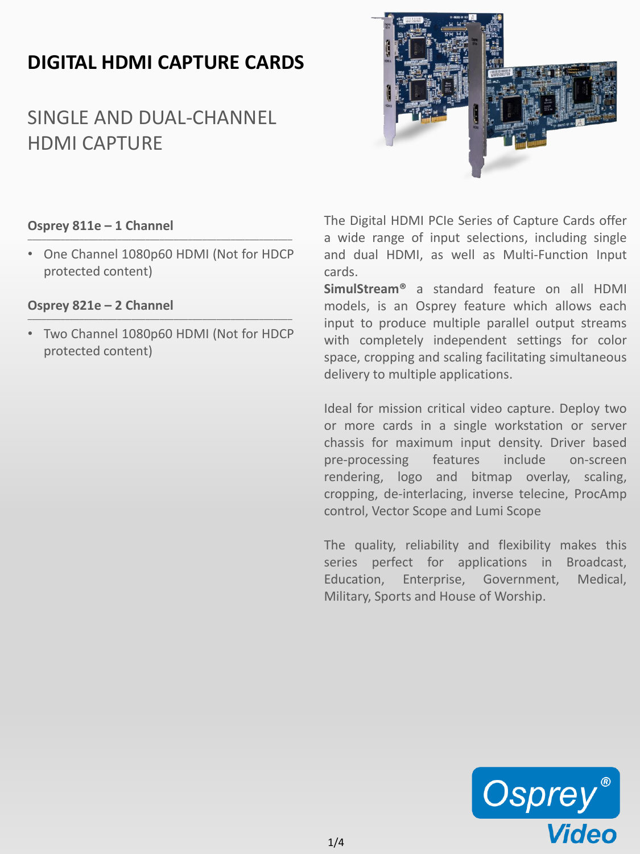## **DIGITAL HDMI CAPTURE CARDS**

## SINGLE AND DUAL-CHANNEL HDMI CAPTURE



## **Osprey 811e – 1 Channel** \_\_\_\_\_\_\_\_\_\_\_\_\_\_\_\_\_\_\_\_\_\_\_\_\_\_\_\_\_\_\_\_\_\_\_\_\_\_\_\_\_\_\_\_\_\_\_\_\_\_\_\_\_\_\_\_

• One Channel 1080p60 HDMI (Not for HDCP protected content)

## **Osprey 821e – 2 Channel** \_\_\_\_\_\_\_\_\_\_\_\_\_\_\_\_\_\_\_\_\_\_\_\_\_\_\_\_\_\_\_\_\_\_\_\_\_\_\_\_\_\_\_\_\_\_\_\_\_\_\_\_\_\_\_\_

• Two Channel 1080p60 HDMI (Not for HDCP protected content)

The Digital HDMI PCIe Series of Capture Cards offer a wide range of input selections, including single and dual HDMI, as well as Multi-Function Input cards.

**SimulStream®** a standard feature on all HDMI models, is an Osprey feature which allows each input to produce multiple parallel output streams with completely independent settings for color space, cropping and scaling facilitating simultaneous delivery to multiple applications.

Ideal for mission critical video capture. Deploy two or more cards in a single workstation or server chassis for maximum input density. Driver based pre-processing features include on-screen rendering, logo and bitmap overlay, scaling, cropping, de-interlacing, inverse telecine, ProcAmp control, Vector Scope and Lumi Scope

The quality, reliability and flexibility makes this series perfect for applications in Broadcast, Education, Enterprise, Government, Medical, Military, Sports and House of Worship.

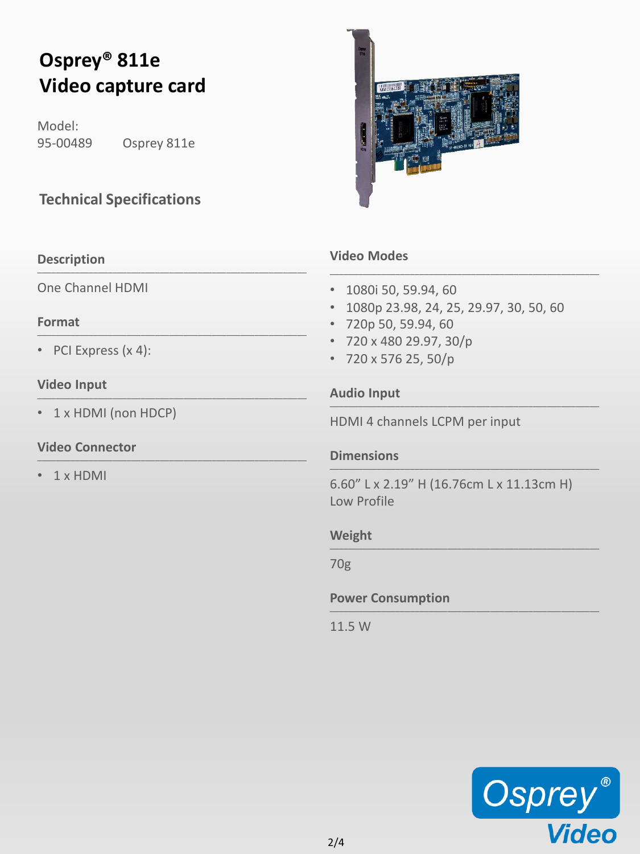# **Osprey® 811e Video capture card**

Model: 95-00489 Osprey 811e

## **Technical Specifications**

\_\_\_\_\_\_\_\_\_\_\_\_\_\_\_\_\_\_\_\_\_\_\_\_\_\_\_\_\_\_\_\_\_\_\_\_\_\_\_\_\_\_\_\_\_\_\_\_\_\_\_\_\_\_\_\_\_

 $\mathcal{L}_\mathcal{L}$  , and the contribution of the contribution of the contribution of the contribution of the contribution of the contribution of the contribution of the contribution of the contribution of the contribution of



## **Video Modes**

- 1080i 50, 59.94, 60
- 1080p 23.98, 24, 25, 29.97, 30, 50, 60

\_\_\_\_\_\_\_\_\_\_\_\_\_\_\_\_\_\_\_\_\_\_\_\_\_\_\_\_\_\_\_\_\_\_\_\_\_\_\_\_\_\_\_\_\_\_\_\_\_\_\_\_\_\_\_\_\_

- 720p 50, 59.94, 60
- 720 x 480 29.97, 30/p
- 720 x 576 25, 50/p

## **Audio Input**

HDMI 4 channels LCPM per input

## **Dimensions** \_\_\_\_\_\_\_\_\_\_\_\_\_\_\_\_\_\_\_\_\_\_\_\_\_\_\_\_\_\_\_\_\_\_\_\_\_\_\_\_\_\_\_\_\_\_\_\_\_\_\_\_\_\_\_\_\_

6.60" L x 2.19" H (16.76cm L x 11.13cm H) Low Profile

## **Weight** \_\_\_\_\_\_\_\_\_\_\_\_\_\_\_\_\_\_\_\_\_\_\_\_\_\_\_\_\_\_\_\_\_\_\_\_\_\_\_\_\_\_\_\_\_\_\_\_\_\_\_\_\_\_\_\_\_

70g

**Power Consumption** \_\_\_\_\_\_\_\_\_\_\_\_\_\_\_\_\_\_\_\_\_\_\_\_\_\_\_\_\_\_\_\_\_\_\_\_\_\_\_\_\_\_\_\_\_\_\_\_\_\_\_\_\_\_\_\_\_

11.5 W



# \_\_\_\_\_\_\_\_\_\_\_\_\_\_\_\_\_\_\_\_\_\_\_\_\_\_\_\_\_\_\_\_\_\_\_\_\_\_\_\_\_\_\_\_\_\_\_\_\_\_\_\_\_\_\_\_\_ \_\_\_\_\_\_\_\_\_\_\_\_\_\_\_\_\_\_\_\_\_\_\_\_\_\_\_\_\_\_\_\_\_\_\_\_\_\_\_\_\_\_\_\_\_\_\_\_\_\_\_\_\_\_\_\_\_

#### **Video Connector** \_\_\_\_\_\_\_\_\_\_\_\_\_\_\_\_\_\_\_\_\_\_\_\_\_\_\_\_\_\_\_\_\_\_\_\_\_\_\_\_\_\_\_\_\_\_\_\_\_\_\_\_\_\_\_\_\_

• 1 x HDMI

**Video Input**

**Description**

**Format**

One Channel HDMI

• PCI Express (x 4):

• 1 x HDMI (non HDCP)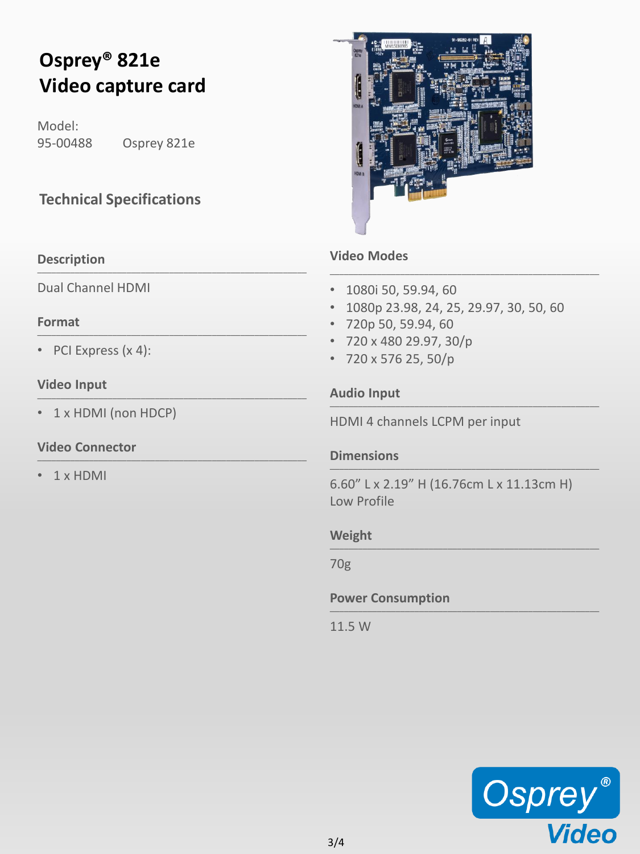# **Osprey® 821e Video capture card**

Model: 95-00488 Osprey 821e

## **Technical Specifications**

### **Description** \_\_\_\_\_\_\_\_\_\_\_\_\_\_\_\_\_\_\_\_\_\_\_\_\_\_\_\_\_\_\_\_\_\_\_\_\_\_\_\_\_\_\_\_\_\_\_\_\_\_\_\_\_\_\_\_\_

Dual Channel HDMI

### **Format**  $\mathcal{L}_\mathcal{L}$  , and the contribution of the contribution of the contribution of the contribution of the contribution of the contribution of the contribution of the contribution of the contribution of the contribution of

• PCI Express (x 4):

### **Video Input** \_\_\_\_\_\_\_\_\_\_\_\_\_\_\_\_\_\_\_\_\_\_\_\_\_\_\_\_\_\_\_\_\_\_\_\_\_\_\_\_\_\_\_\_\_\_\_\_\_\_\_\_\_\_\_\_\_

• 1 x HDMI (non HDCP)

### **Video Connector** \_\_\_\_\_\_\_\_\_\_\_\_\_\_\_\_\_\_\_\_\_\_\_\_\_\_\_\_\_\_\_\_\_\_\_\_\_\_\_\_\_\_\_\_\_\_\_\_\_\_\_\_\_\_\_\_\_

• 1 x HDMI



## **Video Modes**

- 1080i 50, 59.94, 60
- 1080p 23.98, 24, 25, 29.97, 30, 50, 60

\_\_\_\_\_\_\_\_\_\_\_\_\_\_\_\_\_\_\_\_\_\_\_\_\_\_\_\_\_\_\_\_\_\_\_\_\_\_\_\_\_\_\_\_\_\_\_\_\_\_\_\_\_\_\_\_\_

- 720p 50, 59.94, 60
- 720 x 480 29.97, 30/p
- 720 x 576 25, 50/p

#### **Audio Input** \_\_\_\_\_\_\_\_\_\_\_\_\_\_\_\_\_\_\_\_\_\_\_\_\_\_\_\_\_\_\_\_\_\_\_\_\_\_\_\_\_\_\_\_\_\_\_\_\_\_\_\_\_\_\_\_\_

HDMI 4 channels LCPM per input

## **Dimensions** \_\_\_\_\_\_\_\_\_\_\_\_\_\_\_\_\_\_\_\_\_\_\_\_\_\_\_\_\_\_\_\_\_\_\_\_\_\_\_\_\_\_\_\_\_\_\_\_\_\_\_\_\_\_\_\_\_

6.60" L x 2.19" H (16.76cm L x 11.13cm H) Low Profile

### **Weight** \_\_\_\_\_\_\_\_\_\_\_\_\_\_\_\_\_\_\_\_\_\_\_\_\_\_\_\_\_\_\_\_\_\_\_\_\_\_\_\_\_\_\_\_\_\_\_\_\_\_\_\_\_\_\_\_\_

70g

**Power Consumption** \_\_\_\_\_\_\_\_\_\_\_\_\_\_\_\_\_\_\_\_\_\_\_\_\_\_\_\_\_\_\_\_\_\_\_\_\_\_\_\_\_\_\_\_\_\_\_\_\_\_\_\_\_\_\_\_\_

11.5 W